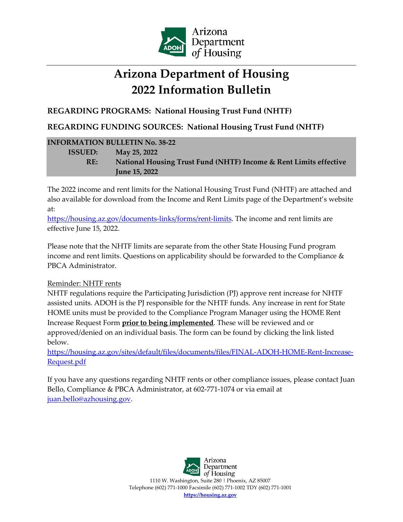

## **Arizona Department of Housing 2022 Information Bulletin**

**REGARDING PROGRAMS: National Housing Trust Fund (NHTF)**

**REGARDING FUNDING SOURCES: National Housing Trust Fund (NHTF)**

## **INFORMATION BULLETIN No. 38-22 ISSUED: May 25, 2022 RE: National Housing Trust Fund (NHTF) Income & Rent Limits effective June 15, 2022**

The 2022 income and rent limits for the National Housing Trust Fund (NHTF) are attached and also available for download from the Income and Rent Limits page of the Department's website at:

[https://housing.az.gov/documents-links/forms/rent-limits.](https://housing.az.gov/documents-links/forms/rent-limits) The income and rent limits are effective June 15, 2022.

Please note that the NHTF limits are separate from the other State Housing Fund program income and rent limits. Questions on applicability should be forwarded to the Compliance & PBCA Administrator.

## Reminder: NHTF rents

NHTF regulations require the Participating Jurisdiction (PJ) approve rent increase for NHTF assisted units. ADOH is the PJ responsible for the NHTF funds. Any increase in rent for State HOME units must be provided to the Compliance Program Manager using the HOME Rent Increase Request Form **prior to being implemented**. These will be reviewed and or approved/denied on an individual basis. The form can be found by clicking the link listed below.

[https://housing.az.gov/sites/default/files/documents/files/FINAL-ADOH-HOME-Rent-Increase-](https://housing.az.gov/sites/default/files/documents/files/FINAL-ADOH-HOME-Rent-Increase-Request.pdf)[Request.pdf](https://housing.az.gov/sites/default/files/documents/files/FINAL-ADOH-HOME-Rent-Increase-Request.pdf)

If you have any questions regarding NHTF rents or other compliance issues, please contact Juan Bello, Compliance & PBCA Administrator, at 602-771-1074 or via email at [juan.bello@azhousing.gov.](mailto:juan.bello@azhousing.gov)

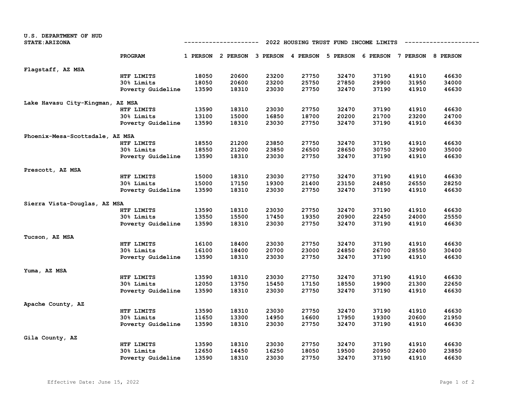| U.S. DEPARTMENT OF HUD           |                                                                       |       |                                     |       |       |                                     |       |       |       |
|----------------------------------|-----------------------------------------------------------------------|-------|-------------------------------------|-------|-------|-------------------------------------|-------|-------|-------|
| <b>STATE: ARIZONA</b>            | 2022 HOUSING TRUST FUND INCOME LIMITS<br>--------------<br>---------- |       |                                     |       |       |                                     |       |       |       |
|                                  |                                                                       |       |                                     |       |       |                                     |       |       |       |
|                                  | <b>PROGRAM</b>                                                        |       | 1 PERSON 2 PERSON 3 PERSON 4 PERSON |       |       | 5 PERSON 6 PERSON 7 PERSON 8 PERSON |       |       |       |
| Flagstaff, AZ MSA                |                                                                       |       |                                     |       |       |                                     |       |       |       |
|                                  | HTF LIMITS                                                            | 18050 | 20600                               | 23200 | 27750 | 32470                               | 37190 | 41910 | 46630 |
|                                  | 30% Limits                                                            | 18050 | 20600                               | 23200 | 25750 | 27850                               | 29900 | 31950 | 34000 |
|                                  | Poverty Guideline                                                     | 13590 | 18310                               | 23030 | 27750 | 32470                               | 37190 | 41910 | 46630 |
| Lake Havasu City-Kingman, AZ MSA |                                                                       |       |                                     |       |       |                                     |       |       |       |
|                                  | HTF LIMITS                                                            | 13590 | 18310                               | 23030 | 27750 | 32470                               | 37190 | 41910 | 46630 |
|                                  | 30% Limits                                                            | 13100 | 15000                               | 16850 | 18700 | 20200                               | 21700 | 23200 | 24700 |
|                                  | Poverty Guideline                                                     | 13590 | 18310                               | 23030 | 27750 | 32470                               | 37190 | 41910 | 46630 |
|                                  |                                                                       |       |                                     |       |       |                                     |       |       |       |
| Phoenix-Mesa-Scottsdale, AZ MSA  |                                                                       |       |                                     |       |       |                                     |       |       |       |
|                                  | HTF LIMITS                                                            | 18550 | 21200                               | 23850 | 27750 | 32470                               | 37190 | 41910 | 46630 |
|                                  | 30% Limits                                                            | 18550 | 21200                               | 23850 | 26500 | 28650                               | 30750 | 32900 | 35000 |
|                                  | Poverty Guideline                                                     | 13590 | 18310                               | 23030 | 27750 | 32470                               | 37190 | 41910 | 46630 |
| Prescott, AZ MSA                 |                                                                       |       |                                     |       |       |                                     |       |       |       |
|                                  | HTF LIMITS                                                            | 15000 | 18310                               | 23030 | 27750 | 32470                               | 37190 | 41910 | 46630 |
|                                  | 30% Limits                                                            | 15000 | 17150                               | 19300 | 21400 | 23150                               | 24850 | 26550 | 28250 |
|                                  | Poverty Guideline                                                     | 13590 | 18310                               | 23030 | 27750 | 32470                               | 37190 | 41910 | 46630 |
| Sierra Vista-Douglas, AZ MSA     |                                                                       |       |                                     |       |       |                                     |       |       |       |
|                                  | HTF LIMITS                                                            | 13590 | 18310                               | 23030 | 27750 | 32470                               | 37190 | 41910 | 46630 |
|                                  | 30% Limits                                                            | 13550 | 15500                               | 17450 | 19350 | 20900                               | 22450 | 24000 | 25550 |
|                                  |                                                                       | 13590 | 18310                               | 23030 | 27750 | 32470                               | 37190 | 41910 | 46630 |
|                                  | Poverty Guideline                                                     |       |                                     |       |       |                                     |       |       |       |
| Tucson, AZ MSA                   |                                                                       |       |                                     |       |       |                                     |       |       |       |
|                                  | HTF LIMITS                                                            | 16100 | 18400                               | 23030 | 27750 | 32470                               | 37190 | 41910 | 46630 |
|                                  | 30% Limits                                                            | 16100 | 18400                               | 20700 | 23000 | 24850                               | 26700 | 28550 | 30400 |
|                                  | Poverty Guideline                                                     | 13590 | 18310                               | 23030 | 27750 | 32470                               | 37190 | 41910 | 46630 |
| Yuma, AZ MSA                     |                                                                       |       |                                     |       |       |                                     |       |       |       |
|                                  | HTF LIMITS                                                            | 13590 | 18310                               | 23030 | 27750 | 32470                               | 37190 | 41910 | 46630 |
|                                  | <b>30% Limits</b>                                                     | 12050 | 13750                               | 15450 | 17150 | 18550                               | 19900 | 21300 | 22650 |
|                                  | Poverty Guideline                                                     | 13590 | 18310                               | 23030 | 27750 | 32470                               | 37190 | 41910 | 46630 |
|                                  |                                                                       |       |                                     |       |       |                                     |       |       |       |
| Apache County, AZ                | HTF LIMITS                                                            |       |                                     |       | 27750 | 32470                               | 37190 | 41910 | 46630 |
|                                  |                                                                       | 13590 | 18310                               | 23030 |       |                                     |       |       |       |
|                                  | 30% Limits                                                            | 11650 | 13300                               | 14950 | 16600 | 17950                               | 19300 | 20600 | 21950 |
|                                  | Poverty Guideline                                                     | 13590 | 18310                               | 23030 | 27750 | 32470                               | 37190 | 41910 | 46630 |
| Gila County, AZ                  |                                                                       |       |                                     |       |       |                                     |       |       |       |
|                                  | HTF LIMITS                                                            | 13590 | 18310                               | 23030 | 27750 | 32470                               | 37190 | 41910 | 46630 |
|                                  | <b>30% Limits</b>                                                     | 12650 | 14450                               | 16250 | 18050 | 19500                               | 20950 | 22400 | 23850 |
|                                  | Poverty Guideline                                                     | 13590 | 18310                               | 23030 | 27750 | 32470                               | 37190 | 41910 | 46630 |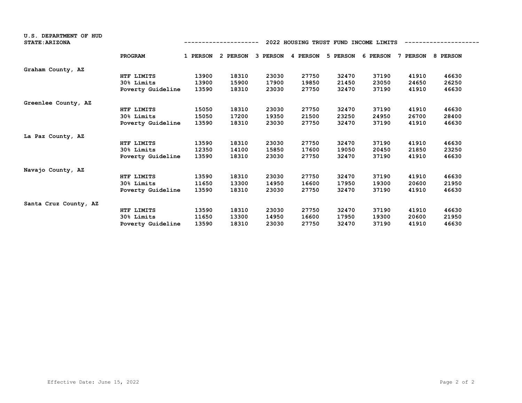| <b>U.S. DEPARTMENT OF HUD</b><br><b>STATE: ARIZONA</b> |                   |          |          |          |          | 2022 HOUSING TRUST FUND INCOME LIMITS |          |          |          |
|--------------------------------------------------------|-------------------|----------|----------|----------|----------|---------------------------------------|----------|----------|----------|
|                                                        | <b>PROGRAM</b>    | 1 PERSON | 2 PERSON | 3 PERSON | 4 PERSON | 5 PERSON                              | 6 PERSON | 7 PERSON | 8 PERSON |
| Graham County, AZ                                      |                   |          |          |          |          |                                       |          |          |          |
|                                                        | HTF LIMITS        | 13900    | 18310    | 23030    | 27750    | 32470                                 | 37190    | 41910    | 46630    |
|                                                        | 30% Limits        | 13900    | 15900    | 17900    | 19850    | 21450                                 | 23050    | 24650    | 26250    |
|                                                        | Poverty Guideline | 13590    | 18310    | 23030    | 27750    | 32470                                 | 37190    | 41910    | 46630    |
| Greenlee County, AZ                                    |                   |          |          |          |          |                                       |          |          |          |
|                                                        | HTF LIMITS        | 15050    | 18310    | 23030    | 27750    | 32470                                 | 37190    | 41910    | 46630    |
|                                                        | 30% Limits        | 15050    | 17200    | 19350    | 21500    | 23250                                 | 24950    | 26700    | 28400    |
|                                                        | Poverty Guideline | 13590    | 18310    | 23030    | 27750    | 32470                                 | 37190    | 41910    | 46630    |
| La Paz County, AZ                                      |                   |          |          |          |          |                                       |          |          |          |
|                                                        | HTF LIMITS        | 13590    | 18310    | 23030    | 27750    | 32470                                 | 37190    | 41910    | 46630    |
|                                                        | 30% Limits        | 12350    | 14100    | 15850    | 17600    | 19050                                 | 20450    | 21850    | 23250    |
|                                                        | Poverty Guideline | 13590    | 18310    | 23030    | 27750    | 32470                                 | 37190    | 41910    | 46630    |
| Navajo County, AZ                                      |                   |          |          |          |          |                                       |          |          |          |
|                                                        | HTF LIMITS        | 13590    | 18310    | 23030    | 27750    | 32470                                 | 37190    | 41910    | 46630    |
|                                                        | 30% Limits        | 11650    | 13300    | 14950    | 16600    | 17950                                 | 19300    | 20600    | 21950    |
|                                                        | Poverty Guideline | 13590    | 18310    | 23030    | 27750    | 32470                                 | 37190    | 41910    | 46630    |
| Santa Cruz County, AZ                                  |                   |          |          |          |          |                                       |          |          |          |
|                                                        | HTF LIMITS        | 13590    | 18310    | 23030    | 27750    | 32470                                 | 37190    | 41910    | 46630    |
|                                                        | 30% Limits        | 11650    | 13300    | 14950    | 16600    | 17950                                 | 19300    | 20600    | 21950    |
|                                                        | Poverty Guideline | 13590    | 18310    | 23030    | 27750    | 32470                                 | 37190    | 41910    | 46630    |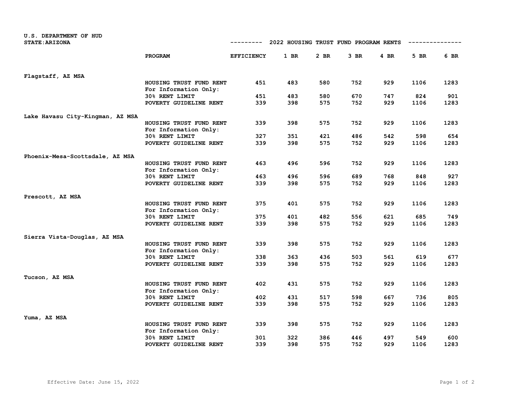| <b>U.S. DEPARTMENT OF HUD</b>    |                                                  |                   |                                       |            |            |            |             |             |
|----------------------------------|--------------------------------------------------|-------------------|---------------------------------------|------------|------------|------------|-------------|-------------|
| <b>STATE: ARIZONA</b>            |                                                  | ---------         | 2022 HOUSING TRUST FUND PROGRAM RENTS |            |            |            | ----------- |             |
|                                  | <b>PROGRAM</b>                                   | <b>EFFICIENCY</b> | 1 BR                                  | $2$ BR     | 3 BR       | $4$ BR     | 5 BR        | 6 BR        |
| Flagstaff, AZ MSA                |                                                  |                   |                                       |            |            |            |             |             |
|                                  | HOUSING TRUST FUND RENT<br>For Information Only: | 451               | 483                                   | 580        | 752        | 929        | 1106        | 1283        |
|                                  | 30% RENT LIMIT                                   | 451               | 483                                   | 580        | 670        | 747        | 824         | 901         |
|                                  | POVERTY GUIDELINE RENT                           | 339               | 398                                   | 575        | 752        | 929        | 1106        | 1283        |
| Lake Havasu City-Kingman, AZ MSA |                                                  |                   |                                       |            |            |            |             |             |
|                                  | HOUSING TRUST FUND RENT                          | 339               | 398                                   | 575        | 752        | 929        | 1106        | 1283        |
|                                  | For Information Only:<br>30% RENT LIMIT          | 327               | 351                                   | 421        | 486        | 542        | 598         | 654         |
|                                  | POVERTY GUIDELINE RENT                           | 339               | 398                                   | 575        | 752        | 929        | 1106        | 1283        |
|                                  |                                                  |                   |                                       |            |            |            |             |             |
| Phoenix-Mesa-Scottsdale, AZ MSA  | HOUSING TRUST FUND RENT                          | 463               | 496                                   | 596        | 752        | 929        | 1106        | 1283        |
|                                  | For Information Only:                            |                   |                                       |            |            |            |             |             |
|                                  | 30% RENT LIMIT                                   | 463               | 496                                   | 596        | 689        | 768        | 848         | 927         |
|                                  | POVERTY GUIDELINE RENT                           | 339               | 398                                   | 575        | 752        | 929        | 1106        | 1283        |
| Prescott, AZ MSA                 |                                                  |                   |                                       |            |            |            |             |             |
|                                  | HOUSING TRUST FUND RENT                          | 375               | 401                                   | 575        | 752        | 929        | 1106        | 1283        |
|                                  | For Information Only:                            |                   |                                       |            |            |            |             |             |
|                                  | 30% RENT LIMIT<br>POVERTY GUIDELINE RENT         | 375<br>339        | 401<br>398                            | 482<br>575 | 556<br>752 | 621<br>929 | 685<br>1106 | 749<br>1283 |
|                                  |                                                  |                   |                                       |            |            |            |             |             |
| Sierra Vista-Douglas, AZ MSA     |                                                  |                   |                                       |            |            |            |             |             |
|                                  | HOUSING TRUST FUND RENT<br>For Information Only: | 339               | 398                                   | 575        | 752        | 929        | 1106        | 1283        |
|                                  | 30% RENT LIMIT                                   | 338               | 363                                   | 436        | 503        | 561        | 619         | 677         |
|                                  | POVERTY GUIDELINE RENT                           | 339               | 398                                   | 575        | 752        | 929        | 1106        | 1283        |
| Tucson, AZ MSA                   |                                                  |                   |                                       |            |            |            |             |             |
|                                  | HOUSING TRUST FUND RENT<br>For Information Only: | 402               | 431                                   | 575        | 752        | 929        | 1106        | 1283        |
|                                  | 30% RENT LIMIT                                   | 402               | 431                                   | 517        | 598        | 667        | 736         | 805         |
|                                  | POVERTY GUIDELINE RENT                           | 339               | 398                                   | 575        | 752        | 929        | 1106        | 1283        |
| Yuma, AZ MSA                     |                                                  |                   |                                       |            |            |            |             |             |
|                                  | HOUSING TRUST FUND RENT<br>For Information Only: | 339               | 398                                   | 575        | 752        | 929        | 1106        | 1283        |
|                                  | 30% RENT LIMIT                                   | 301               | 322                                   | 386        | 446        | 497        | 549         | 600         |
|                                  | POVERTY GUIDELINE RENT                           | 339               | 398                                   | 575        | 752        | 929        | 1106        | 1283        |